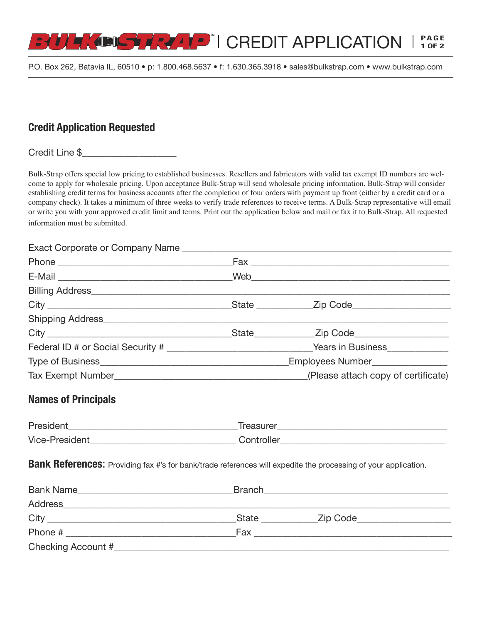

P.O. Box 262, Batavia IL, 60510 • p: 1.800.468.5637 • f: 1.630.365.3918 • sales@bulkstrap.com • [www.bulkstrap.com](http://www.bulkstrap.com/)

# **Credit Application Requested**

Credit Line \$

Bulk-Strap offers special low pricing to established businesses. Resellers and fabricators with valid tax exempt ID numbers are welcome to apply for wholesale pricing. Upon acceptance Bulk-Strap will send wholesale pricing information. Bulk-Strap will consider establishing credit terms for business accounts after the completion of four orders with payment up front (either by a credit card or a company check). It takes a minimum of three weeks to verify trade references to receive terms. A Bulk-Strap representative will email or write you with your approved credit limit and terms. Print out the application below and mail or fax it to Bulk-Strap. All requested information must be submitted.

#### Exact Corporate or Company Name **Exact**

|  | Federal ID # or Social Security # ________________________________Years in Business________________ |
|--|-----------------------------------------------------------------------------------------------------|
|  | Employees Number_________________                                                                   |
|  |                                                                                                     |

## **Names of Principals**

| President             | <u>Freasurer</u> |
|-----------------------|------------------|
| <b>Vice-President</b> | . :ontroller     |

**Bank References:** Providing fax #'s for bank/trade references will expedite the processing of your application.

| <b>Bank Name</b>   | <b>Branch</b> |           |  |
|--------------------|---------------|-----------|--|
| <b>Address</b>     |               |           |  |
| City               | <b>State</b>  | _Zip Code |  |
| Phone #            | Fax           |           |  |
| Checking Account # |               |           |  |